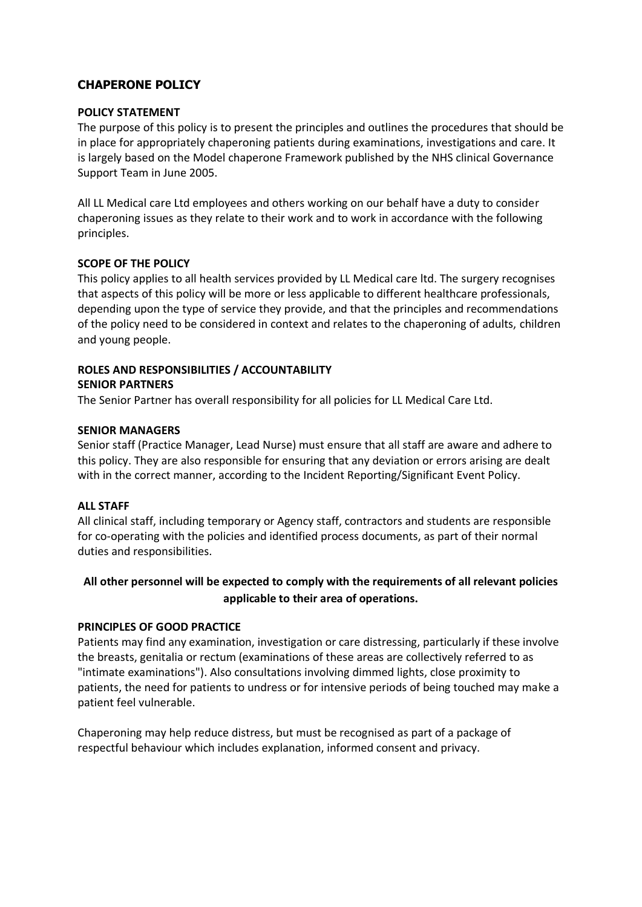# **CHAPERONE POLICY**

#### **POLICY STATEMENT**

The purpose of this policy is to present the principles and outlines the procedures that should be in place for appropriately chaperoning patients during examinations, investigations and care. It is largely based on the Model chaperone Framework published by the NHS clinical Governance Support Team in June 2005.

All LL Medical care Ltd employees and others working on our behalf have a duty to consider chaperoning issues as they relate to their work and to work in accordance with the following principles.

#### **SCOPE OF THE POLICY**

This policy applies to all health services provided by LL Medical care ltd. The surgery recognises that aspects of this policy will be more or less applicable to different healthcare professionals, depending upon the type of service they provide, and that the principles and recommendations of the policy need to be considered in context and relates to the chaperoning of adults, children and young people.

# **ROLES AND RESPONSIBILITIES / ACCOUNTABILITY SENIOR PARTNERS**

The Senior Partner has overall responsibility for all policies for LL Medical Care Ltd.

#### **SENIOR MANAGERS**

Senior staff (Practice Manager, Lead Nurse) must ensure that all staff are aware and adhere to this policy. They are also responsible for ensuring that any deviation or errors arising are dealt with in the correct manner, according to the Incident Reporting/Significant Event Policy.

#### **ALL STAFF**

All clinical staff, including temporary or Agency staff, contractors and students are responsible for co-operating with the policies and identified process documents, as part of their normal duties and responsibilities.

# **All other personnel will be expected to comply with the requirements of all relevant policies applicable to their area of operations.**

# **PRINCIPLES OF GOOD PRACTICE**

Patients may find any examination, investigation or care distressing, particularly if these involve the breasts, genitalia or rectum (examinations of these areas are collectively referred to as "intimate examinations"). Also consultations involving dimmed lights, close proximity to patients, the need for patients to undress or for intensive periods of being touched may make a patient feel vulnerable.

Chaperoning may help reduce distress, but must be recognised as part of a package of respectful behaviour which includes explanation, informed consent and privacy.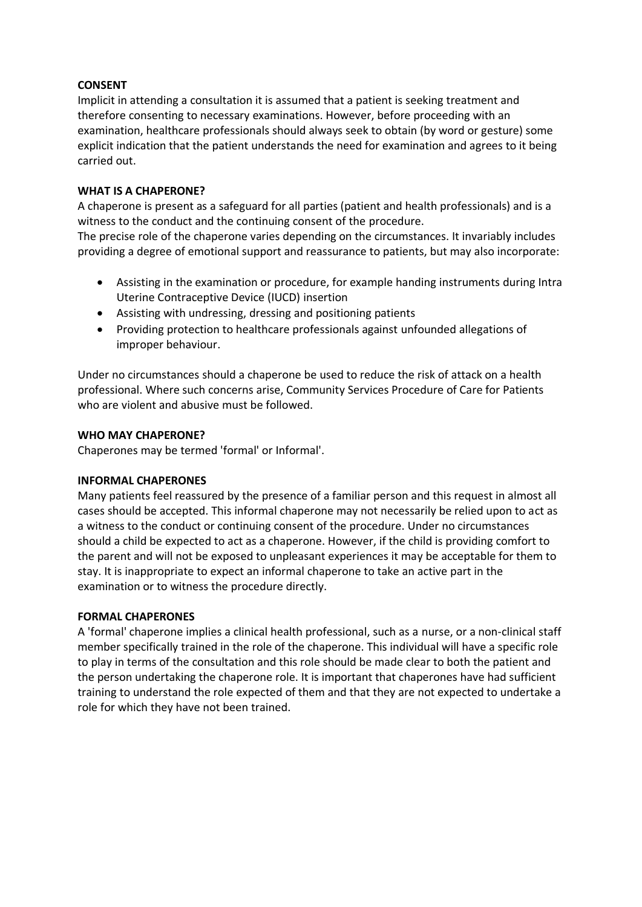#### **CONSENT**

Implicit in attending a consultation it is assumed that a patient is seeking treatment and therefore consenting to necessary examinations. However, before proceeding with an examination, healthcare professionals should always seek to obtain (by word or gesture) some explicit indication that the patient understands the need for examination and agrees to it being carried out.

#### **WHAT IS A CHAPERONE?**

A chaperone is present as a safeguard for all parties (patient and health professionals) and is a witness to the conduct and the continuing consent of the procedure.

The precise role of the chaperone varies depending on the circumstances. It invariably includes providing a degree of emotional support and reassurance to patients, but may also incorporate:

- Assisting in the examination or procedure, for example handing instruments during Intra Uterine Contraceptive Device (IUCD) insertion
- Assisting with undressing, dressing and positioning patients
- Providing protection to healthcare professionals against unfounded allegations of improper behaviour.

Under no circumstances should a chaperone be used to reduce the risk of attack on a health professional. Where such concerns arise, Community Services Procedure of Care for Patients who are violent and abusive must be followed.

#### **WHO MAY CHAPERONE?**

Chaperones may be termed 'formal' or Informal'.

# **INFORMAL CHAPERONES**

Many patients feel reassured by the presence of a familiar person and this request in almost all cases should be accepted. This informal chaperone may not necessarily be relied upon to act as a witness to the conduct or continuing consent of the procedure. Under no circumstances should a child be expected to act as a chaperone. However, if the child is providing comfort to the parent and will not be exposed to unpleasant experiences it may be acceptable for them to stay. It is inappropriate to expect an informal chaperone to take an active part in the examination or to witness the procedure directly.

#### **FORMAL CHAPERONES**

A 'formal' chaperone implies a clinical health professional, such as a nurse, or a non-clinical staff member specifically trained in the role of the chaperone. This individual will have a specific role to play in terms of the consultation and this role should be made clear to both the patient and the person undertaking the chaperone role. It is important that chaperones have had sufficient training to understand the role expected of them and that they are not expected to undertake a role for which they have not been trained.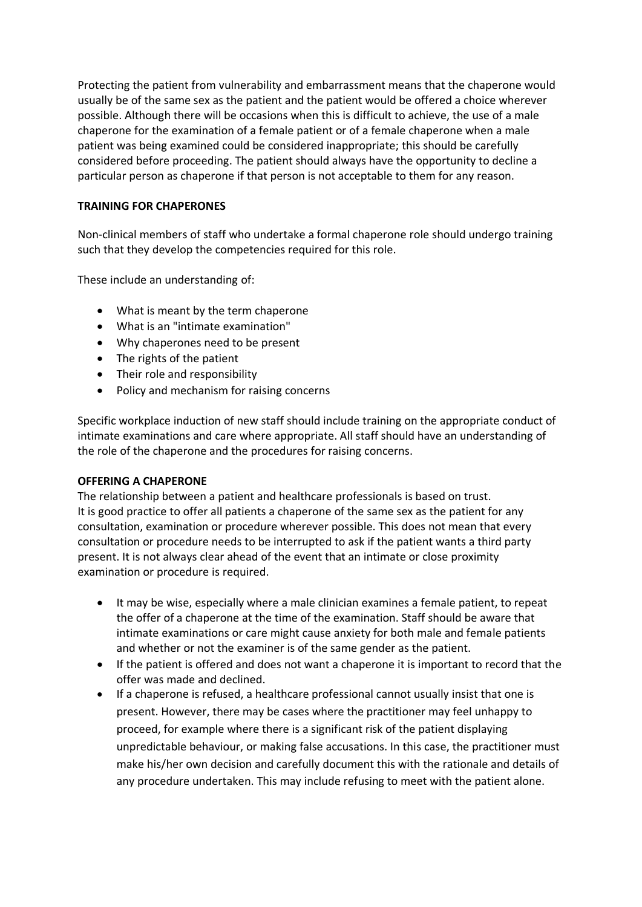Protecting the patient from vulnerability and embarrassment means that the chaperone would usually be of the same sex as the patient and the patient would be offered a choice wherever possible. Although there will be occasions when this is difficult to achieve, the use of a male chaperone for the examination of a female patient or of a female chaperone when a male patient was being examined could be considered inappropriate; this should be carefully considered before proceeding. The patient should always have the opportunity to decline a particular person as chaperone if that person is not acceptable to them for any reason.

# **TRAINING FOR CHAPERONES**

Non-clinical members of staff who undertake a formal chaperone role should undergo training such that they develop the competencies required for this role.

These include an understanding of:

- What is meant by the term chaperone
- What is an "intimate examination"
- Why chaperones need to be present
- The rights of the patient
- Their role and responsibility
- Policy and mechanism for raising concerns

Specific workplace induction of new staff should include training on the appropriate conduct of intimate examinations and care where appropriate. All staff should have an understanding of the role of the chaperone and the procedures for raising concerns.

# **OFFERING A CHAPERONE**

The relationship between a patient and healthcare professionals is based on trust. It is good practice to offer all patients a chaperone of the same sex as the patient for any consultation, examination or procedure wherever possible. This does not mean that every consultation or procedure needs to be interrupted to ask if the patient wants a third party present. It is not always clear ahead of the event that an intimate or close proximity examination or procedure is required.

- It may be wise, especially where a male clinician examines a female patient, to repeat the offer of a chaperone at the time of the examination. Staff should be aware that intimate examinations or care might cause anxiety for both male and female patients and whether or not the examiner is of the same gender as the patient.
- If the patient is offered and does not want a chaperone it is important to record that the offer was made and declined.
- If a chaperone is refused, a healthcare professional cannot usually insist that one is present. However, there may be cases where the practitioner may feel unhappy to proceed, for example where there is a significant risk of the patient displaying unpredictable behaviour, or making false accusations. In this case, the practitioner must make his/her own decision and carefully document this with the rationale and details of any procedure undertaken. This may include refusing to meet with the patient alone.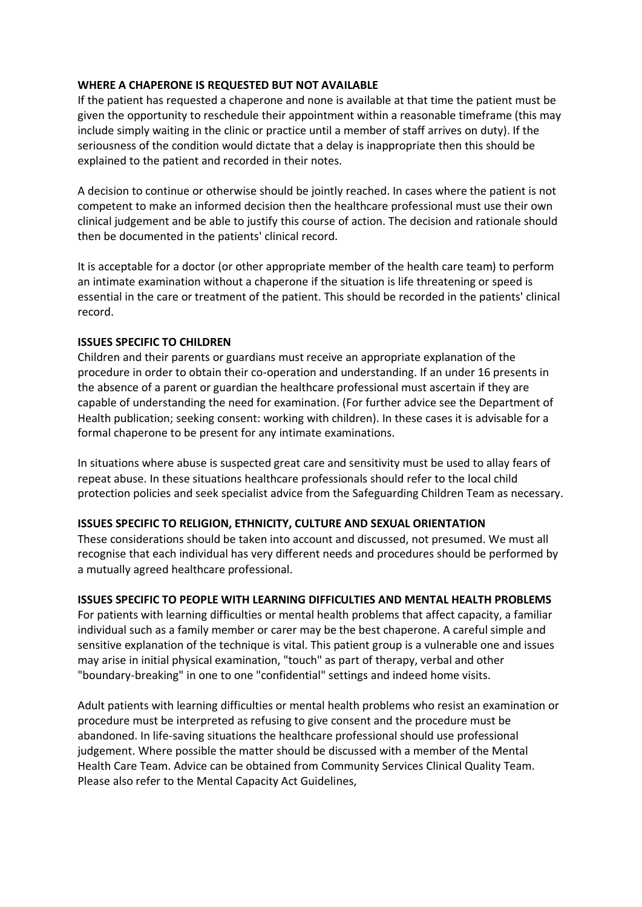# **WHERE A CHAPERONE IS REQUESTED BUT NOT AVAILABLE**

If the patient has requested a chaperone and none is available at that time the patient must be given the opportunity to reschedule their appointment within a reasonable timeframe (this may include simply waiting in the clinic or practice until a member of staff arrives on duty). If the seriousness of the condition would dictate that a delay is inappropriate then this should be explained to the patient and recorded in their notes.

A decision to continue or otherwise should be jointly reached. In cases where the patient is not competent to make an informed decision then the healthcare professional must use their own clinical judgement and be able to justify this course of action. The decision and rationale should then be documented in the patients' clinical record.

It is acceptable for a doctor (or other appropriate member of the health care team) to perform an intimate examination without a chaperone if the situation is life threatening or speed is essential in the care or treatment of the patient. This should be recorded in the patients' clinical record.

#### **ISSUES SPECIFIC TO CHILDREN**

Children and their parents or guardians must receive an appropriate explanation of the procedure in order to obtain their co-operation and understanding. If an under 16 presents in the absence of a parent or guardian the healthcare professional must ascertain if they are capable of understanding the need for examination. (For further advice see the Department of Health publication; seeking consent: working with children). In these cases it is advisable for a formal chaperone to be present for any intimate examinations.

In situations where abuse is suspected great care and sensitivity must be used to allay fears of repeat abuse. In these situations healthcare professionals should refer to the local child protection policies and seek specialist advice from the Safeguarding Children Team as necessary.

# **ISSUES SPECIFIC TO RELIGION, ETHNICITY, CULTURE AND SEXUAL ORIENTATION**

These considerations should be taken into account and discussed, not presumed. We must all recognise that each individual has very different needs and procedures should be performed by a mutually agreed healthcare professional.

# **ISSUES SPECIFIC TO PEOPLE WITH LEARNING DIFFICULTIES AND MENTAL HEALTH PROBLEMS**

For patients with learning difficulties or mental health problems that affect capacity, a familiar individual such as a family member or carer may be the best chaperone. A careful simple and sensitive explanation of the technique is vital. This patient group is a vulnerable one and issues may arise in initial physical examination, "touch" as part of therapy, verbal and other "boundary-breaking" in one to one "confidential" settings and indeed home visits.

Adult patients with learning difficulties or mental health problems who resist an examination or procedure must be interpreted as refusing to give consent and the procedure must be abandoned. In life-saving situations the healthcare professional should use professional judgement. Where possible the matter should be discussed with a member of the Mental Health Care Team. Advice can be obtained from Community Services Clinical Quality Team. Please also refer to the Mental Capacity Act Guidelines,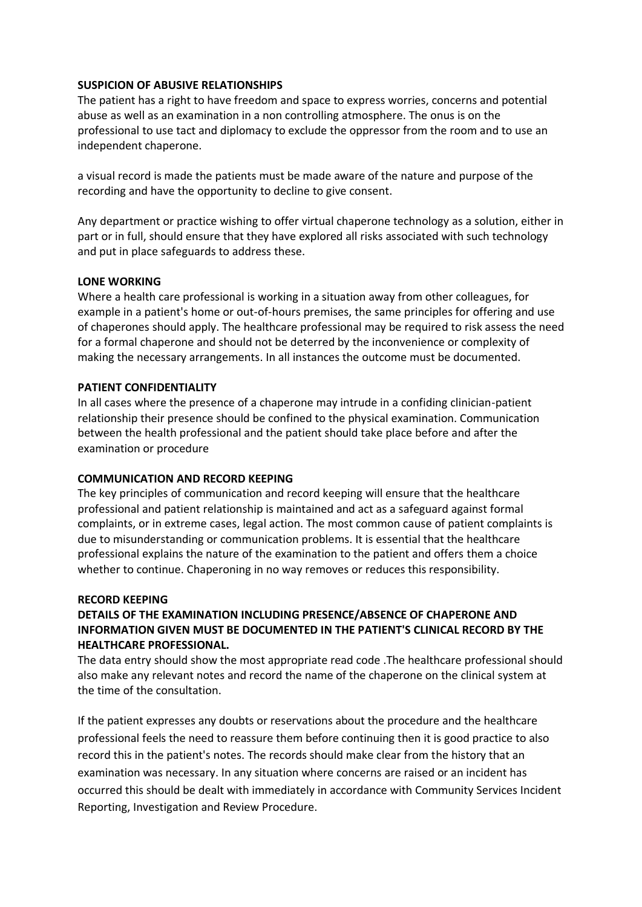#### **SUSPICION OF ABUSIVE RELATIONSHIPS**

The patient has a right to have freedom and space to express worries, concerns and potential abuse as well as an examination in a non controlling atmosphere. The onus is on the professional to use tact and diplomacy to exclude the oppressor from the room and to use an independent chaperone.

a visual record is made the patients must be made aware of the nature and purpose of the recording and have the opportunity to decline to give consent.

Any department or practice wishing to offer virtual chaperone technology as a solution, either in part or in full, should ensure that they have explored all risks associated with such technology and put in place safeguards to address these.

# **LONE WORKING**

Where a health care professional is working in a situation away from other colleagues, for example in a patient's home or out-of-hours premises, the same principles for offering and use of chaperones should apply. The healthcare professional may be required to risk assess the need for a formal chaperone and should not be deterred by the inconvenience or complexity of making the necessary arrangements. In all instances the outcome must be documented.

# **PATIENT CONFIDENTIALITY**

In all cases where the presence of a chaperone may intrude in a confiding clinician-patient relationship their presence should be confined to the physical examination. Communication between the health professional and the patient should take place before and after the examination or procedure

# **COMMUNICATION AND RECORD KEEPING**

The key principles of communication and record keeping will ensure that the healthcare professional and patient relationship is maintained and act as a safeguard against formal complaints, or in extreme cases, legal action. The most common cause of patient complaints is due to misunderstanding or communication problems. It is essential that the healthcare professional explains the nature of the examination to the patient and offers them a choice whether to continue. Chaperoning in no way removes or reduces this responsibility.

# **RECORD KEEPING**

# **DETAILS OF THE EXAMINATION INCLUDING PRESENCE/ABSENCE OF CHAPERONE AND INFORMATION GIVEN MUST BE DOCUMENTED IN THE PATIENT'S CLINICAL RECORD BY THE HEALTHCARE PROFESSIONAL.**

The data entry should show the most appropriate read code .The healthcare professional should also make any relevant notes and record the name of the chaperone on the clinical system at the time of the consultation.

If the patient expresses any doubts or reservations about the procedure and the healthcare professional feels the need to reassure them before continuing then it is good practice to also record this in the patient's notes. The records should make clear from the history that an examination was necessary. In any situation where concerns are raised or an incident has occurred this should be dealt with immediately in accordance with Community Services Incident Reporting, Investigation and Review Procedure.